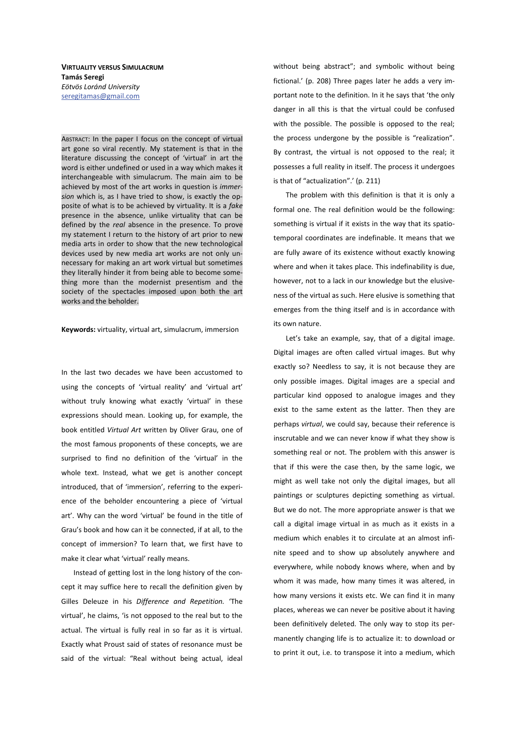**VIRTUALITY VERSUS SIMULACRUM Tamás Seregi** *Eötvös Loránd University*  seregitamas@gmail.com

ABSTRACT: In the paper I focus on the concept of virtual art gone so viral recently. My statement is that in the literature discussing the concept of 'virtual' in art the word is either undefined or used in a way which makes it interchangeable with simulacrum. The main aim to be achieved by most of the art works in question is *immersion* which is, as I have tried to show, is exactly the opposite of what is to be achieved by virtuality. It is a *fake* presence in the absence, unlike virtuality that can be defined by the *real* absence in the presence. To prove my statement I return to the history of art prior to new media arts in order to show that the new technological devices used by new media art works are not only unnecessary for making an art work virtual but sometimes they literally hinder it from being able to become something more than the modernist presentism and the society of the spectacles imposed upon both the art works and the beholder.

Keywords: virtuality, virtual art, simulacrum, immersion

In the last two decades we have been accustomed to using the concepts of 'virtual reality' and 'virtual art' without truly knowing what exactly 'virtual' in these expressions should mean. Looking up, for example, the book entitled *Virtual Art* written by Oliver Grau, one of the most famous proponents of these concepts, we are surprised to find no definition of the 'virtual' in the whole text. Instead, what we get is another concept introduced, that of 'immersion', referring to the experience of the beholder encountering a piece of 'virtual art'. Why can the word 'virtual' be found in the title of Grau's book and how can it be connected, if at all, to the concept of immersion? To learn that, we first have to make it clear what 'virtual' really means.

Instead of getting lost in the long history of the concept it may suffice here to recall the definition given by Gilles Deleuze in his *Difference and Repetition.* 'The virtual', he claims, 'is not opposed to the real but to the actual. The virtual is fully real in so far as it is virtual. Exactly what Proust said of states of resonance must be said of the virtual: "Real without being actual, ideal without being abstract"; and symbolic without being fictional.' (p. 208) Three pages later he adds a very important note to the definition. In it he says that 'the only danger in all this is that the virtual could be confused with the possible. The possible is opposed to the real; the process undergone by the possible is "realization". By contrast, the virtual is not opposed to the real; it possesses a full reality in itself. The process it undergoes is that of "actualization".' (p. 211)

The problem with this definition is that it is only a formal one. The real definition would be the following: something is virtual if it exists in the way that its spatiotemporal coordinates are indefinable. It means that we are fully aware of its existence without exactly knowing where and when it takes place. This indefinability is due, however, not to a lack in our knowledge but the elusiveness of the virtual as such. Here elusive is something that emerges from the thing itself and is in accordance with its own nature.

Let's take an example, say, that of a digital image. Digital images are often called virtual images. But why exactly so? Needless to say, it is not because they are only possible images. Digital images are a special and particular kind opposed to analogue images and they exist to the same extent as the latter. Then they are perhaps *virtual*, we could say, because their reference is inscrutable and we can never know if what they show is something real or not. The problem with this answer is that if this were the case then, by the same logic, we might as well take not only the digital images, but all paintings or sculptures depicting something as virtual. But we do not. The more appropriate answer is that we call a digital image virtual in as much as it exists in a medium which enables it to circulate at an almost infinite speed and to show up absolutely anywhere and everywhere, while nobody knows where, when and by whom it was made, how many times it was altered, in how many versions it exists etc. We can find it in many places, whereas we can never be positive about it having been definitively deleted. The only way to stop its permanently changing life is to actualize it: to download or to print it out, i.e. to transpose it into a medium, which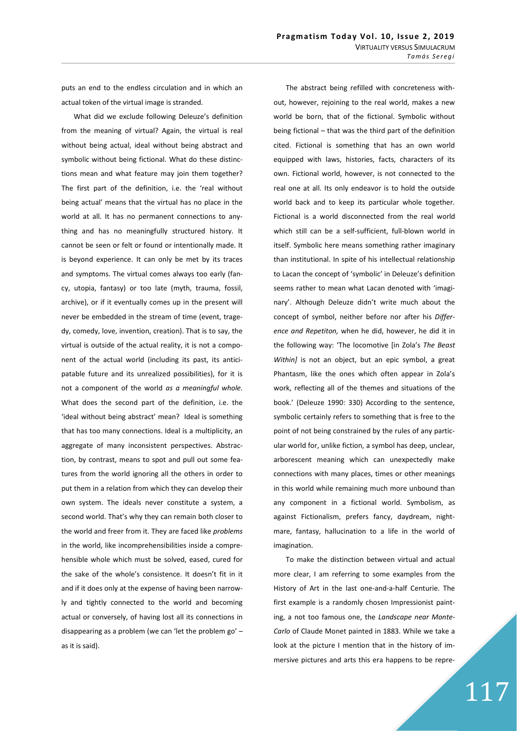puts an end to the endless circulation and in which an actual token of the virtual image is stranded.

What did we exclude following Deleuze's definition from the meaning of virtual? Again, the virtual is real without being actual, ideal without being abstract and symbolic without being fictional. What do these distinctions mean and what feature may join them together? The first part of the definition, i.e. the 'real without being actual' means that the virtual has no place in the world at all. It has no permanent connections to anything and has no meaningfully structured history. It cannot be seen or felt or found or intentionally made. It is beyond experience. It can only be met by its traces and symptoms. The virtual comes always too early (fancy, utopia, fantasy) or too late (myth, trauma, fossil, archive), or if it eventually comes up in the present will never be embedded in the stream of time (event, tragedy, comedy, love, invention, creation). That is to say, the virtual is outside of the actual reality, it is not a component of the actual world (including its past, its anticipatable future and its unrealized possibilities), for it is not a component of the world *as a meaningful whole.* What does the second part of the definition, i.e. the 'ideal without being abstract' mean? Ideal is something that has too many connections. Ideal is a multiplicity, an aggregate of many inconsistent perspectives. Abstraction, by contrast, means to spot and pull out some features from the world ignoring all the others in order to put them in a relation from which they can develop their own system. The ideals never constitute a system, a second world. That's why they can remain both closer to the world and freer from it. They are faced like *problems* in the world, like incomprehensibilities inside a comprehensible whole which must be solved, eased, cured for the sake of the whole's consistence. It doesn't fit in it and if it does only at the expense of having been narrowly and tightly connected to the world and becoming actual or conversely, of having lost all its connections in disappearing as a problem (we can 'let the problem go' – as it is said).

The abstract being refilled with concreteness without, however, rejoining to the real world, makes a new world be born, that of the fictional. Symbolic without being fictional – that was the third part of the definition cited. Fictional is something that has an own world equipped with laws, histories, facts, characters of its own. Fictional world, however, is not connected to the real one at all. Its only endeavor is to hold the outside world back and to keep its particular whole together. Fictional is a world disconnected from the real world which still can be a self-sufficient, full-blown world in itself. Symbolic here means something rather imaginary than institutional. In spite of his intellectual relationship to Lacan the concept of 'symbolic' in Deleuze's definition seems rather to mean what Lacan denoted with 'imaginary'. Although Deleuze didn't write much about the concept of symbol, neither before nor after his *Difference and Repetiton,* when he did, however, he did it in the following way: 'The locomotive [in Zola's *The Beast Within]* is not an object, but an epic symbol, a great Phantasm, like the ones which often appear in Zola's work, reflecting all of the themes and situations of the book.' (Deleuze 1990: 330) According to the sentence, symbolic certainly refers to something that is free to the point of not being constrained by the rules of any particular world for, unlike fiction, a symbol has deep, unclear, arborescent meaning which can unexpectedly make connections with many places, times or other meanings in this world while remaining much more unbound than any component in a fictional world. Symbolism, as against Fictionalism, prefers fancy, daydream, nightmare, fantasy, hallucination to a life in the world of imagination.

To make the distinction between virtual and actual more clear, I am referring to some examples from the History of Art in the last one-and-a-half Centurie. The first example is a randomly chosen Impressionist painting, a not too famous one, the *Landscape near Monte-Carlo* of Claude Monet painted in 1883. While we take a look at the picture I mention that in the history of immersive pictures and arts this era happens to be repre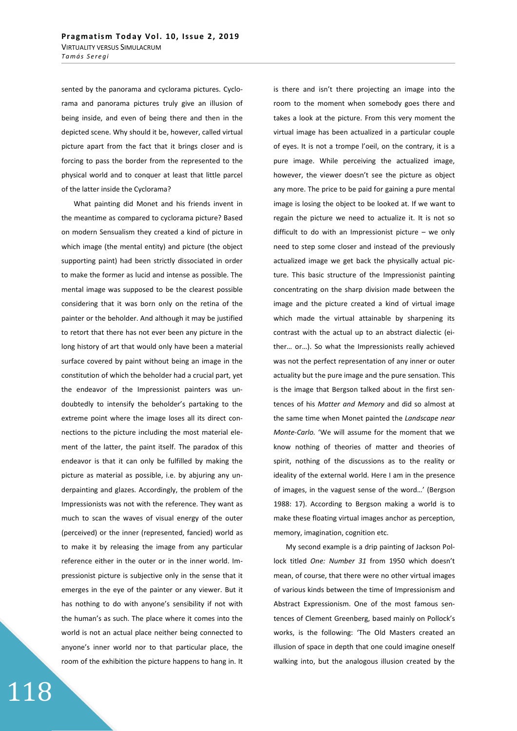sented by the panorama and cyclorama pictures. Cyclorama and panorama pictures truly give an illusion of being inside, and even of being there and then in the depicted scene. Why should it be, however, called virtual picture apart from the fact that it brings closer and is forcing to pass the border from the represented to the physical world and to conquer at least that little parcel of the latter inside the Cyclorama?

What painting did Monet and his friends invent in the meantime as compared to cyclorama picture? Based on modern Sensualism they created a kind of picture in which image (the mental entity) and picture (the object supporting paint) had been strictly dissociated in order to make the former as lucid and intense as possible. The mental image was supposed to be the clearest possible considering that it was born only on the retina of the painter or the beholder. And although it may be justified to retort that there has not ever been any picture in the long history of art that would only have been a material surface covered by paint without being an image in the constitution of which the beholder had a crucial part, yet the endeavor of the Impressionist painters was undoubtedly to intensify the beholder's partaking to the extreme point where the image loses all its direct connections to the picture including the most material element of the latter, the paint itself. The paradox of this endeavor is that it can only be fulfilled by making the picture as material as possible, i.e. by abjuring any underpainting and glazes. Accordingly, the problem of the Impressionists was not with the reference. They want as much to scan the waves of visual energy of the outer (perceived) or the inner (represented, fancied) world as to make it by releasing the image from any particular reference either in the outer or in the inner world. Impressionist picture is subjective only in the sense that it emerges in the eye of the painter or any viewer. But it has nothing to do with anyone's sensibility if not with the human's as such. The place where it comes into the world is not an actual place neither being connected to anyone's inner world nor to that particular place, the room of the exhibition the picture happens to hang in. It

is there and isn't there projecting an image into the room to the moment when somebody goes there and takes a look at the picture. From this very moment the virtual image has been actualized in a particular couple of eyes. It is not a trompe l'oeil, on the contrary, it is a pure image. While perceiving the actualized image, however, the viewer doesn't see the picture as object any more. The price to be paid for gaining a pure mental image is losing the object to be looked at. If we want to regain the picture we need to actualize it. It is not so difficult to do with an Impressionist picture – we only need to step some closer and instead of the previously actualized image we get back the physically actual picture. This basic structure of the Impressionist painting concentrating on the sharp division made between the image and the picture created a kind of virtual image which made the virtual attainable by sharpening its contrast with the actual up to an abstract dialectic (either… or…). So what the Impressionists really achieved was not the perfect representation of any inner or outer actuality but the pure image and the pure sensation. This is the image that Bergson talked about in the first sentences of his *Matter and Memory* and did so almost at the same time when Monet painted the *Landscape near Monte-Carlo.* 'We will assume for the moment that we know nothing of theories of matter and theories of spirit, nothing of the discussions as to the reality or ideality of the external world. Here I am in the presence of images, in the vaguest sense of the word…' (Bergson 1988: 17). According to Bergson making a world is to make these floating virtual images anchor as perception, memory, imagination, cognition etc.

My second example is a drip painting of Jackson Pollock titled *One: Number 31* from 1950 which doesn't mean, of course, that there were no other virtual images of various kinds between the time of Impressionism and Abstract Expressionism. One of the most famous sentences of Clement Greenberg, based mainly on Pollock's works, is the following: 'The Old Masters created an illusion of space in depth that one could imagine oneself walking into, but the analogous illusion created by the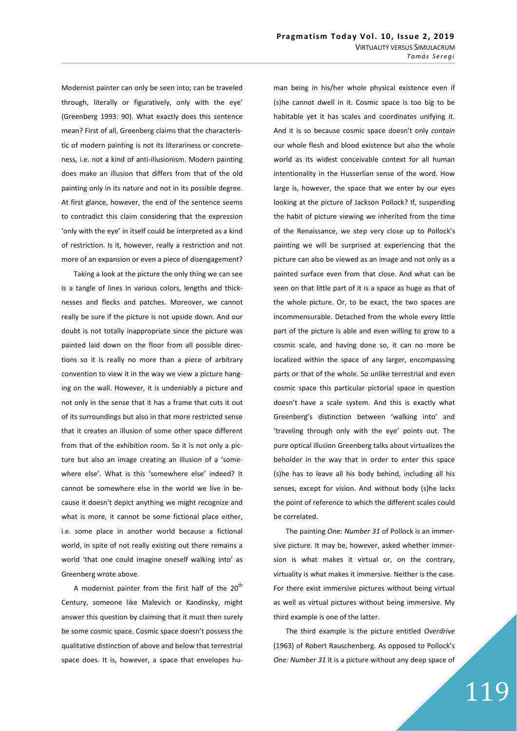Modernist painter can only be seen into; can be traveled through, literally or figuratively, only with the eye' (Greenberg 1993: 90). What exactly does this sentence mean? First of all, Greenberg claims that the characteristic of modern painting is not its literariness or concreteness, i.e. not a kind of anti-illusionism. Modern painting does make an illusion that differs from that of the old painting only in its nature and not in its possible degree. At first glance, however, the end of the sentence seems to contradict this claim considering that the expression 'only with the eye' in itself could be interpreted as a kind of restriction. Is it, however, really a restriction and not more of an expansion or even a piece of disengagement?

Taking a look at the picture the only thing we can see is a tangle of lines in various colors, lengths and thicknesses and flecks and patches. Moreover, we cannot really be sure if the picture is not upside down. And our doubt is not totally inappropriate since the picture was painted laid down on the floor from all possible directions so it is really no more than a piece of arbitrary convention to view it in the way we view a picture hanging on the wall. However, it is undeniably a picture and not only in the sense that it has a frame that cuts it out of its surroundings but also in that more restricted sense that it creates an illusion of some other space different from that of the exhibition room. So it is not only a picture but also an image creating an illusion of a 'somewhere else'. What is this 'somewhere else' indeed? It cannot be somewhere else in the world we live in because it doesn't depict anything we might recognize and what is more, it cannot be some fictional place either, i.e. some place in another world because a fictional world, in spite of not really existing out there remains a world 'that one could imagine oneself walking into' as Greenberg wrote above.

A modernist painter from the first half of the  $20<sup>th</sup>$ Century, someone like Malevich or Kandinsky, might answer this question by claiming that it must then surely be some cosmic space. Cosmic space doesn't possess the qualitative distinction of above and below that terrestrial space does. It is, however, a space that envelopes human being in his/her whole physical existence even if (s)he cannot dwell in it. Cosmic space is too big to be habitable yet it has scales and coordinates unifying it. And it is so because cosmic space doesn't only *contain* our whole flesh and blood existence but also the whole world as its widest conceivable context for all human intentionality in the Husserlian sense of the word. How large is, however, the space that we enter by our eyes looking at the picture of Jackson Pollock? If, suspending the habit of picture viewing we inherited from the time of the Renaissance, we step very close up to Pollock's painting we will be surprised at experiencing that the picture can also be viewed as an image and not only as a painted surface even from that close. And what can be seen on that little part of it is a space as huge as that of the whole picture. Or, to be exact, the two spaces are incommensurable. Detached from the whole every little part of the picture is able and even willing to grow to a cosmic scale, and having done so, it can no more be localized within the space of any larger, encompassing parts or that of the whole. So unlike terrestrial and even cosmic space this particular pictorial space in question doesn't have a scale system. And this is exactly what Greenberg's distinction between 'walking into' and 'traveling through only with the eye' points out. The pure optical illusion Greenberg talks about virtualizes the beholder in the way that in order to enter this space (s)he has to leave all his body behind, including all his senses, except for vision. And without body (s)he lacks the point of reference to which the different scales could be correlated.

The painting *One: Number 31* of Pollock is an immersive picture. It may be, however, asked whether immersion is what makes it virtual or, on the contrary, virtuality is what makes it immersive. Neither is the case. For there exist immersive pictures without being virtual as well as virtual pictures without being immersive. My third example is one of the latter.

The third example is the picture entitled *Overdrive* (1963) of Robert Rauschenberg. As opposed to Pollock's *One: Number 31* it is a picture without any deep space of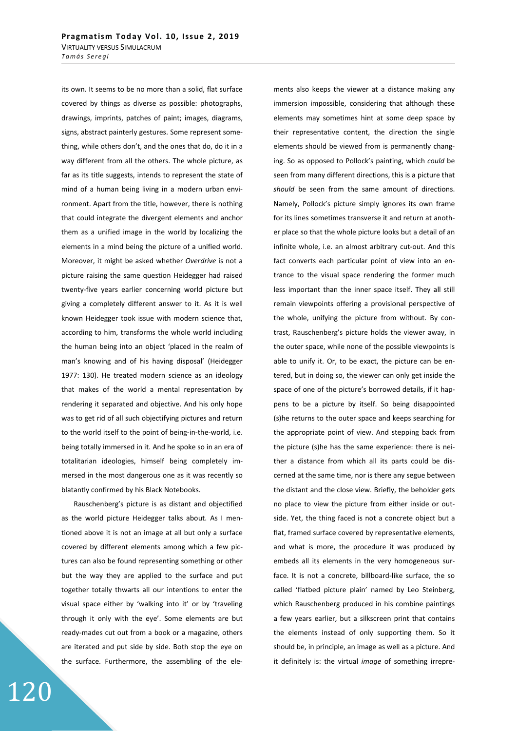its own. It seems to be no more than a solid, flat surface covered by things as diverse as possible: photographs, drawings, imprints, patches of paint; images, diagrams, signs, abstract painterly gestures. Some represent something, while others don't, and the ones that do, do it in a way different from all the others. The whole picture, as far as its title suggests, intends to represent the state of mind of a human being living in a modern urban environment. Apart from the title, however, there is nothing that could integrate the divergent elements and anchor them as a unified image in the world by localizing the elements in a mind being the picture of a unified world. Moreover, it might be asked whether *Overdrive* is not a picture raising the same question Heidegger had raised twenty-five years earlier concerning world picture but giving a completely different answer to it. As it is well known Heidegger took issue with modern science that, according to him, transforms the whole world including the human being into an object 'placed in the realm of man's knowing and of his having disposal' (Heidegger 1977: 130). He treated modern science as an ideology that makes of the world a mental representation by rendering it separated and objective. And his only hope was to get rid of all such objectifying pictures and return to the world itself to the point of being-in-the-world, i.e. being totally immersed in it. And he spoke so in an era of totalitarian ideologies, himself being completely immersed in the most dangerous one as it was recently so blatantly confirmed by his Black Notebooks.

Rauschenberg's picture is as distant and objectified as the world picture Heidegger talks about. As I mentioned above it is not an image at all but only a surface covered by different elements among which a few pictures can also be found representing something or other but the way they are applied to the surface and put together totally thwarts all our intentions to enter the visual space either by 'walking into it' or by 'traveling through it only with the eye'. Some elements are but ready-mades cut out from a book or a magazine, others are iterated and put side by side. Both stop the eye on the surface. Furthermore, the assembling of the ele-

ments also keeps the viewer at a distance making any immersion impossible, considering that although these elements may sometimes hint at some deep space by their representative content, the direction the single elements should be viewed from is permanently changing. So as opposed to Pollock's painting, which *could* be seen from many different directions, this is a picture that *should* be seen from the same amount of directions. Namely, Pollock's picture simply ignores its own frame for its lines sometimes transverse it and return at another place so that the whole picture looks but a detail of an infinite whole, i.e. an almost arbitrary cut-out. And this fact converts each particular point of view into an entrance to the visual space rendering the former much less important than the inner space itself. They all still remain viewpoints offering a provisional perspective of the whole, unifying the picture from without. By contrast, Rauschenberg's picture holds the viewer away, in the outer space, while none of the possible viewpoints is able to unify it. Or, to be exact, the picture can be entered, but in doing so, the viewer can only get inside the space of one of the picture's borrowed details, if it happens to be a picture by itself. So being disappointed (s)he returns to the outer space and keeps searching for the appropriate point of view. And stepping back from the picture (s)he has the same experience: there is neither a distance from which all its parts could be discerned at the same time, nor is there any segue between the distant and the close view. Briefly, the beholder gets no place to view the picture from either inside or outside. Yet, the thing faced is not a concrete object but a flat, framed surface covered by representative elements, and what is more, the procedure it was produced by embeds all its elements in the very homogeneous surface. It is not a concrete, billboard-like surface, the so called 'flatbed picture plain' named by Leo Steinberg, which Rauschenberg produced in his combine paintings a few years earlier, but a silkscreen print that contains the elements instead of only supporting them. So it should be, in principle, an image as well as a picture. And it definitely is: the virtual *image* of something irrepre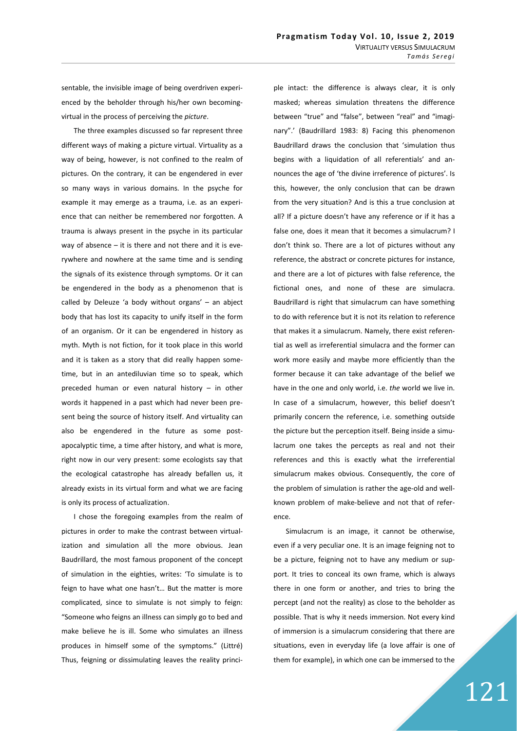sentable, the invisible image of being overdriven experienced by the beholder through his/her own becomingvirtual in the process of perceiving the *picture*.

The three examples discussed so far represent three different ways of making a picture virtual. Virtuality as a way of being, however, is not confined to the realm of pictures. On the contrary, it can be engendered in ever so many ways in various domains. In the psyche for example it may emerge as a trauma, i.e. as an experience that can neither be remembered nor forgotten. A trauma is always present in the psyche in its particular way of absence  $-$  it is there and not there and it is everywhere and nowhere at the same time and is sending the signals of its existence through symptoms. Or it can be engendered in the body as a phenomenon that is called by Deleuze 'a body without organs' – an abject body that has lost its capacity to unify itself in the form of an organism. Or it can be engendered in history as myth. Myth is not fiction, for it took place in this world and it is taken as a story that did really happen sometime, but in an antediluvian time so to speak, which preceded human or even natural history – in other words it happened in a past which had never been present being the source of history itself. And virtuality can also be engendered in the future as some postapocalyptic time, a time after history, and what is more, right now in our very present: some ecologists say that the ecological catastrophe has already befallen us, it already exists in its virtual form and what we are facing is only its process of actualization.

I chose the foregoing examples from the realm of pictures in order to make the contrast between virtualization and simulation all the more obvious. Jean Baudrillard, the most famous proponent of the concept of simulation in the eighties, writes: 'To simulate is to feign to have what one hasn't… But the matter is more complicated, since to simulate is not simply to feign: "Someone who feigns an illness can simply go to bed and make believe he is ill. Some who simulates an illness produces in himself some of the symptoms." (Littré) Thus, feigning or dissimulating leaves the reality principle intact: the difference is always clear, it is only masked; whereas simulation threatens the difference between "true" and "false", between "real" and "imaginary".' (Baudrillard 1983: 8) Facing this phenomenon Baudrillard draws the conclusion that 'simulation thus begins with a liquidation of all referentials' and announces the age of 'the divine irreference of pictures'. Is this, however, the only conclusion that can be drawn from the very situation? And is this a true conclusion at all? If a picture doesn't have any reference or if it has a false one, does it mean that it becomes a simulacrum? I don't think so. There are a lot of pictures without any reference, the abstract or concrete pictures for instance, and there are a lot of pictures with false reference, the fictional ones, and none of these are simulacra. Baudrillard is right that simulacrum can have something to do with reference but it is not its relation to reference that makes it a simulacrum. Namely, there exist referential as well as irreferential simulacra and the former can work more easily and maybe more efficiently than the former because it can take advantage of the belief we have in the one and only world, i.e. *the* world we live in. In case of a simulacrum, however, this belief doesn't primarily concern the reference, i.e. something outside the picture but the perception itself. Being inside a simulacrum one takes the percepts as real and not their references and this is exactly what the irreferential simulacrum makes obvious. Consequently, the core of the problem of simulation is rather the age-old and wellknown problem of make-believe and not that of reference.

Simulacrum is an image, it cannot be otherwise, even if a very peculiar one. It is an image feigning not to be a picture, feigning not to have any medium or support. It tries to conceal its own frame, which is always there in one form or another, and tries to bring the percept (and not the reality) as close to the beholder as possible. That is why it needs immersion. Not every kind of immersion is a simulacrum considering that there are situations, even in everyday life (a love affair is one of them for example), in which one can be immersed to the